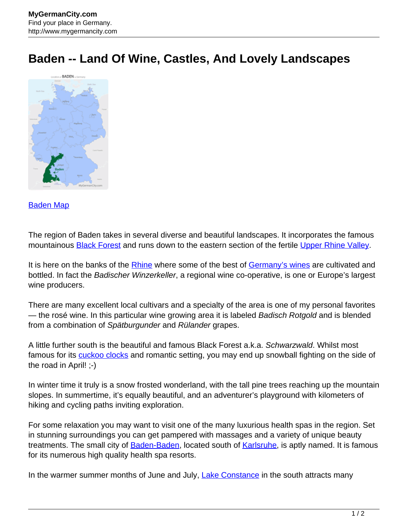## **Baden -- Land Of Wine, Castles, And Lovely Landscapes**



## [Baden Map](http://www.mygermancity.com/baden-map)

The region of Baden takes in several diverse and beautiful landscapes. It incorporates the famous mountainous **[Black Forest](http://www.mygermancity.com/black-forest)** and runs down to the eastern section of the fertile [Upper Rhine Valley](http://www.mygermancity.com/upper-rhine-valley).

It is here on the banks of the **Rhine** where some of the best of [Germany's wines](http://www.mygermancity.com/german-wine) are cultivated and bottled. In fact the Badischer Winzerkeller, a regional wine co-operative, is one or Europe's largest wine producers.

There are many excellent local cultivars and a specialty of the area is one of my personal favorites — the rosé wine. In this particular wine growing area it is labeled Badisch Rotgold and is blended from a combination of Spätburgunder and Rülander grapes.

A little further south is the beautiful and famous Black Forest a.k.a. Schwarzwald. Whilst most famous for its **cuckoo clocks** and romantic setting, you may end up snowball fighting on the side of the road in April! ;-)

In winter time it truly is a snow frosted wonderland, with the tall pine trees reaching up the mountain slopes. In summertime, it's equally beautiful, and an adventurer's playground with kilometers of hiking and cycling paths inviting exploration.

For some relaxation you may want to visit one of the many luxurious health spas in the region. Set in stunning surroundings you can get pampered with massages and a variety of unique beauty treatments. The small city of **[Baden-Baden](http://www.mygermancity.com/baden-baden)**, located south of **Karlsruhe**, is aptly named. It is famous for its numerous high quality health spa resorts.

In the warmer summer months of June and July, [Lake Constance](http://www.mygermancity.com/lake-constance) in the south attracts many